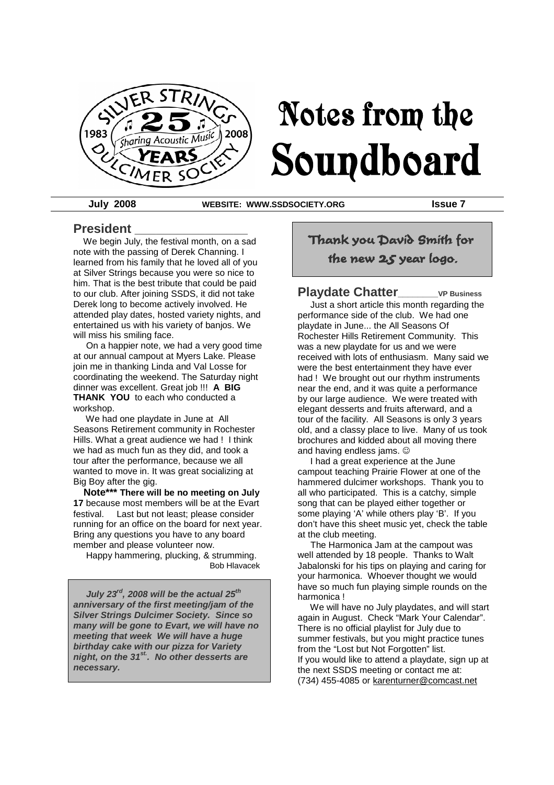

# Notes from the Soundboard

**July 2008 WEBSITE: WWW.SSDSOCIETY.ORG Issue 7**

#### **President \_\_\_\_\_\_\_\_\_\_\_\_\_\_\_\_**

We begin July, the festival month, on a sad note with the passing of Derek Channing. I learned from his family that he loved all of you at Silver Strings because you were so nice to him. That is the best tribute that could be paid to our club. After joining SSDS, it did not take Derek long to become actively involved. He attended play dates, hosted variety nights, and entertained us with his variety of banjos. We will miss his smiling face.

On a happier note, we had a very good time at our annual campout at Myers Lake. Please join me in thanking Linda and Val Losse for coordinating the weekend. The Saturday night dinner was excellent. Great job !!! **A BIG THANK YOU** to each who conducted a workshop.

We had one playdate in June at All Seasons Retirement community in Rochester Hills. What a great audience we had ! I think we had as much fun as they did, and took a tour after the performance, because we all wanted to move in. It was great socializing at Big Boy after the gig.

**Note\*\*\* There will be no meeting on July 17** because most members will be at the Evart festival. Last but not least; please consider running for an office on the board for next year. Bring any questions you have to any board member and please volunteer now.

Happy hammering, plucking, & strumming. Bob Hlavacek

*July 23rd, 2008 will be the actual 25th anniversary of the first meeting/jam of the Silver Strings Dulcimer Society. Since so many will be gone to Evart, we will have no meeting that week We will have a huge birthday cake with our pizza for Variety night, on the 31st. . No other desserts are necessary.*

Thank you David Smith for the new 25 year logo.

#### **Playdate Chatter\_\_\_\_\_\_\_\_VP Business**

Just a short article this month regarding the performance side of the club. We had one playdate in June... the All Seasons Of Rochester Hills Retirement Community. This was a new playdate for us and we were received with lots of enthusiasm. Many said we were the best entertainment they have ever had ! We brought out our rhythm instruments near the end, and it was quite a performance by our large audience. We were treated with elegant desserts and fruits afterward, and a tour of the facility. All Seasons is only 3 years old, and a classy place to live. Many of us took brochures and kidded about all moving there and having endless jams.

I had a great experience at the June campout teaching Prairie Flower at one of the hammered dulcimer workshops. Thank you to all who participated. This is a catchy, simple song that can be played either together or some playing 'A' while others play 'B'. If you don't have this sheet music yet, check the table at the club meeting.

The Harmonica Jam at the campout was well attended by 18 people. Thanks to Walt Jabalonski for his tips on playing and caring for your harmonica. Whoever thought we would have so much fun playing simple rounds on the harmonica !

We will have no July playdates, and will start again in August. Check "Mark Your Calendar". There is no official playlist for July due to summer festivals, but you might practice tunes from the "Lost but Not Forgotten" list. If you would like to attend a playdate, sign up at the next SSDS meeting or contact me at: (734) 455-4085 or karenturner@comcast.net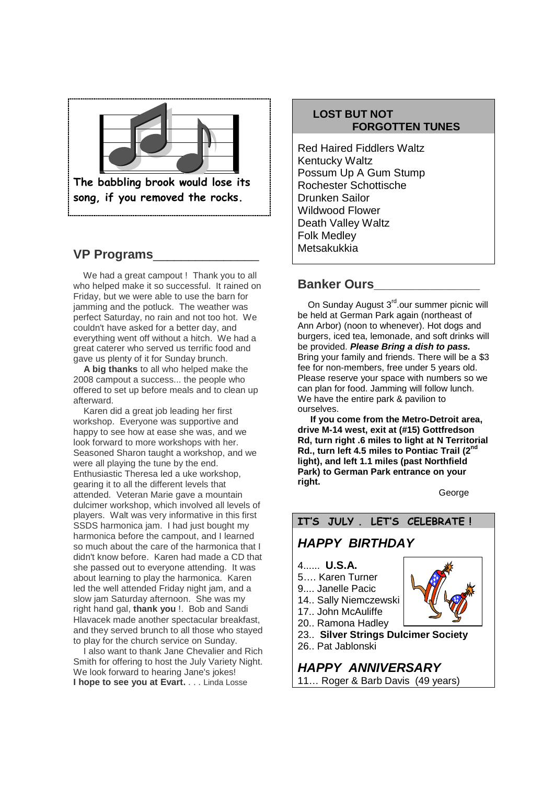

## **VP Programs**\_\_\_\_\_\_\_\_\_\_\_\_\_\_\_

We had a great campout ! Thank you to all who helped make it so successful. It rained on Friday, but we were able to use the barn for jamming and the potluck. The weather was perfect Saturday, no rain and not too hot. We couldn't have asked for a better day, and everything went off without a hitch. We had a great caterer who served us terrific food and gave us plenty of it for Sunday brunch.

**A big thanks** to all who helped make the 2008 campout a success... the people who offered to set up before meals and to clean up afterward.

Karen did a great job leading her first workshop. Everyone was supportive and happy to see how at ease she was, and we look forward to more workshops with her. Seasoned Sharon taught a workshop, and we were all playing the tune by the end. Enthusiastic Theresa led a uke workshop, gearing it to all the different levels that attended. Veteran Marie gave a mountain dulcimer workshop, which involved all levels of players. Walt was very informative in this first SSDS harmonica jam. I had just bought my harmonica before the campout, and I learned so much about the care of the harmonica that I didn't know before. Karen had made a CD that she passed out to everyone attending. It was about learning to play the harmonica. Karen led the well attended Friday night jam, and a slow jam Saturday afternoon. She was my right hand gal, **thank you** !. Bob and Sandi Hlavacek made another spectacular breakfast, and they served brunch to all those who stayed to play for the church service on Sunday.

I also want to thank Jane Chevalier and Rich Smith for offering to host the July Variety Night. We look forward to hearing Jane's jokes! **I hope to see you at Evart.** . . . Linda Losse

#### **LOST BUT NOT FORGOTTEN TUNES**

Red Haired Fiddlers Waltz Kentucky Waltz Possum Up A Gum Stump Rochester Schottische Drunken Sailor Wildwood Flower Death Valley Waltz Folk Medley Metsakukkia

#### **Banker Ours**

On Sunday August 3<sup>rd</sup>.our summer picnic will be held at German Park again (northeast of Ann Arbor) (noon to whenever). Hot dogs and burgers, iced tea, lemonade, and soft drinks will be provided. *Please Bring a dish to pass.* Bring your family and friends. There will be a \$3 fee for non-members, free under 5 years old. Please reserve your space with numbers so we can plan for food. Jamming will follow lunch. We have the entire park & pavilion to ourselves.

**If you come from the Metro-Detroit area, drive M-14 west, exit at (#15) Gottfredson Rd, turn right .6 miles to light at N Territorial Rd., turn left 4.5 miles to Pontiac Trail (2nd light), and left 1.1 miles (past Northfield Park) to German Park entrance on your right.**

**George** 

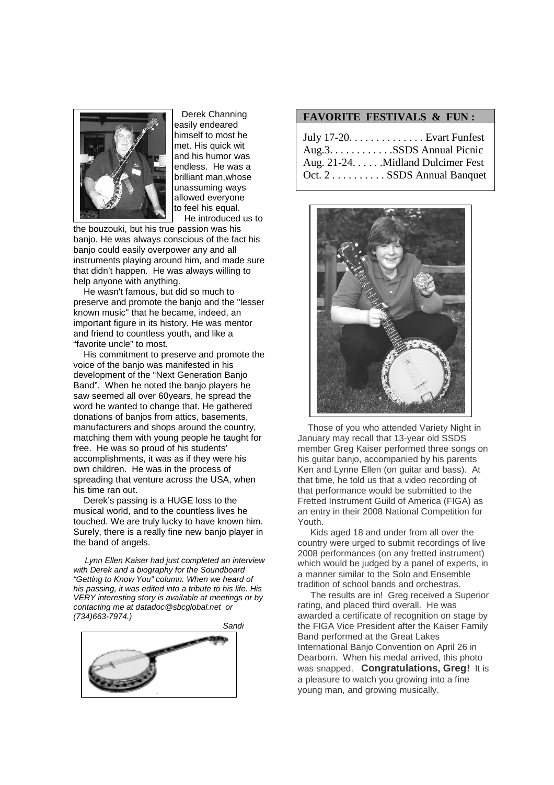

Derek Channing easily endeared himself to most he met. His quick wit and his humor was endless. He was a brilliant man,whose unassuming ways allowed everyone to feel his equal. . He introduced us to

the bouzouki, but his true passion was his banjo. He was always conscious of the fact his banjo could easily overpower any and all instruments playing around him, and made sure that didn't happen. He was always willing to help anyone with anything.

He wasn't famous, but did so much to preserve and promote the banjo and the "lesser known music" that he became, indeed, an important figure in its history. He was mentor and friend to countless youth, and like a "favorite uncle" to most.

His commitment to preserve and promote the voice of the banjo was manifested in his development of the "Next Generation Banjo Band". When he noted the banjo players he saw seemed all over 60years, he spread the word he wanted to change that. He gathered donations of banjos from attics, basements, manufacturers and shops around the country, matching them with young people he taught for free. He was so proud of his students' accomplishments, it was as if they were his own children. He was in the process of spreading that venture across the USA, when his time ran out.

Derek's passing is a HUGE loss to the musical world, and to the countless lives he touched. We are truly lucky to have known him. Surely, there is a really fine new banjo player in the band of angels.

*Lynn Ellen Kaiser had just completed an interview with Derek and a biography for the Soundboard "Getting to Know You" column. When we heard of his passing, it was edited into a tribute to his life. His VERY interesting story is available at meetings or by contacting me at datadoc@sbcglobal.net or (734)663-7974.)*



#### **FAVORITE FESTIVALS & FUN :**

| July $17-20$ . Evart Funfest      |
|-----------------------------------|
| Aug.3. SSDS Annual Picnic         |
| Aug. 21-24. Midland Dulcimer Fest |
| Oct. 2 SSDS Annual Banquet        |



Those of you who attended Variety Night in January may recall that 13-year old SSDS member Greg Kaiser performed three songs on his guitar banjo, accompanied by his parents Ken and Lynne Ellen (on guitar and bass). At that time, he told us that a video recording of that performance would be submitted to the Fretted Instrument Guild of America (FIGA) as an entry in their 2008 National Competition for Youth.

Kids aged 18 and under from all over the country were urged to submit recordings of live 2008 performances (on any fretted instrument) which would be judged by a panel of experts, in a manner similar to the Solo and Ensemble tradition of school bands and orchestras.

The results are in! Greg received a Superior rating, and placed third overall. He was awarded a certificate of recognition on stage by the FIGA Vice President after the Kaiser Family Band performed at the Great Lakes International Banjo Convention on April 26 in Dearborn. When his medal arrived, this photo was snapped. **Congratulations, Greg!** It is a pleasure to watch you growing into a fine young man, and growing musically.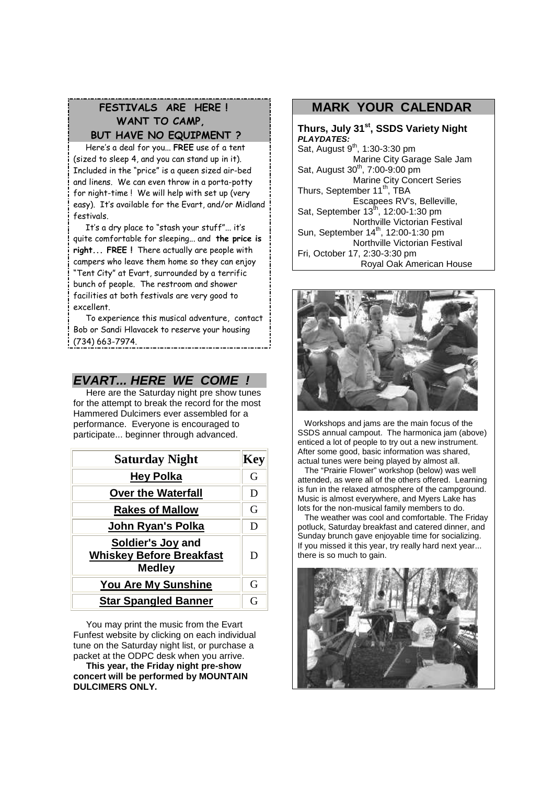## **FESTIVALS ARE HERE ! WANT TO CAMP, BUT HAVE NO EQUIPMENT ?**

Here's a deal for you... **FREE** use of a tent (sized to sleep 4, and you can stand up in it). Included in the "price" is a queen sized air-bed and linens. We can even throw in a porta-potty for night-time ! We will help with set up (very easy). It's available for the Evart, and/or Midland festivals.

It's a dry place to "stash your stuff"... it's quite comfortable for sleeping... and **the price is right... FREE !** There actually are people with campers who leave them home so they can enjoy "Tent City" at Evart, surrounded by a terrific bunch of people. The restroom and shower facilities at both festivals are very good to excellent.

To experience this musical adventure, contact Bob or Sandi Hlavacek to reserve your housing (734) 663-7974.

### *EVART... HERE WE COME !*

Here are the Saturday night pre show tunes for the attempt to break the record for the most Hammered Dulcimers ever assembled for a performance. Everyone is encouraged to participate... beginner through advanced.

| <b>Saturday Night</b>                                                 |   |
|-----------------------------------------------------------------------|---|
| <b>Hey Polka</b>                                                      | G |
| <b>Over the Waterfall</b>                                             | D |
| <b>Rakes of Mallow</b>                                                | G |
| John Ryan's Polka                                                     | D |
| Soldier's Joy and<br><b>Whiskey Before Breakfast</b><br><b>Medley</b> | D |
| <b>You Are My Sunshine</b>                                            | G |
| <b>Star Spangled Banner</b>                                           | G |

You may print the music from the Evart Funfest website by clicking on each individual tune on the Saturday night list, or purchase a packet at the ODPC desk when you arrive.

**This year, the Friday night pre-show concert will be performed by MOUNTAIN DULCIMERS ONLY.**

## **MARK YOUR CALENDAR**

**Thurs, July 31st, SSDS Variety Night** *PLAYDATES:*  $Sat,$  August  $9<sup>th</sup>, 1:30-3:30$  pm Marine City Garage Sale Jam Sat, August  $30^{th}$ , 7:00-9:00 pm Marine City Concert Series Thurs, September 11<sup>th</sup>, TBA Escapees RV's, Belleville, Sat, September  $13^{th}$ , 12:00-1:30 pm Northville Victorian Festival Sun, September 14<sup>th</sup>, 12:00-1:30 pm Northville Victorian Festival Fri, October 17, 2:30-3:30 pm Royal Oak American House



Workshops and jams are the main focus of the SSDS annual campout. The harmonica jam (above) enticed a lot of people to try out a new instrument. After some good, basic information was shared, actual tunes were being played by almost all.

The "Prairie Flower" workshop (below) was well attended, as were all of the others offered. Learning is fun in the relaxed atmosphere of the campground. Music is almost everywhere, and Myers Lake has lots for the non-musical family members to do.

The weather was cool and comfortable. The Friday potluck, Saturday breakfast and catered dinner, and Sunday brunch gave enjoyable time for socializing. If you missed it this year, try really hard next year... there is so much to gain.